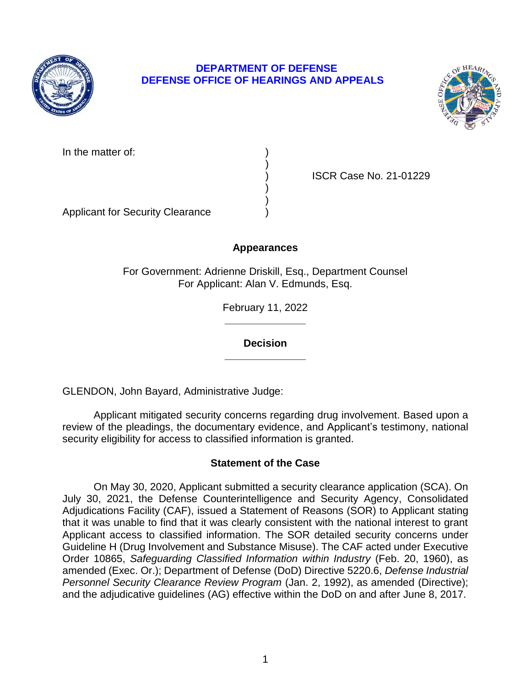

## **DEPARTMENT OF DEFENSE DEFENSE OFFICE OF HEARINGS AND APPEALS**



In the matter of:

) ISCR Case No. 21-01229

Applicant for Security Clearance )

# **Appearances**

)

) )

For Government: Adrienne Driskill, Esq., Department Counsel For Applicant: Alan V. Edmunds, Esq.

> **\_\_\_\_\_\_\_\_\_\_\_\_\_\_**  February 11, 2022

**\_\_\_\_\_\_\_\_\_\_\_\_\_\_ Decision** 

GLENDON, John Bayard, Administrative Judge:

 Applicant mitigated security concerns regarding drug involvement. Based upon a review of the pleadings, the documentary evidence, and Applicant's testimony, national security eligibility for access to classified information is granted.

## **Statement of the Case**

 On May 30, 2020, Applicant submitted a security clearance application (SCA). On July 30, 2021, the Defense Counterintelligence and Security Agency, Consolidated that it was unable to find that it was clearly consistent with the national interest to grant Applicant access to classified information. The SOR detailed security concerns under Guideline H (Drug Involvement and Substance Misuse). The CAF acted under Executive  Order 10865, *Safeguarding Classified Information within Industry* (Feb. 20, 1960), as amended (Exec. Or.); Department of Defense (DoD) Directive 5220.6, *Defense Industrial*  Personnel Security Clearance Review Program (Jan. 2, 1992), as amended (Directive); Adjudications Facility (CAF), issued a Statement of Reasons (SOR) to Applicant stating and the adjudicative guidelines (AG) effective within the DoD on and after June 8, 2017.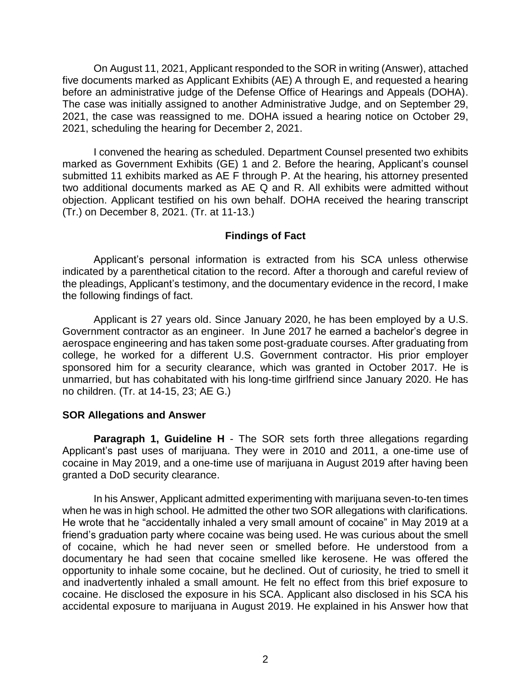five documents marked as Applicant Exhibits (AE) A through E, and requested a hearing before an administrative judge of the Defense Office of Hearings and Appeals (DOHA). The case was initially assigned to another Administrative Judge, and on September 29, 2021, the case was reassigned to me. DOHA issued a hearing notice on October 29, On August 11, 2021, Applicant responded to the SOR in writing (Answer), attached 2021, scheduling the hearing for December 2, 2021.

 I convened the hearing as scheduled. Department Counsel presented two exhibits submitted 11 exhibits marked as AE F through P. At the hearing, his attorney presented two additional documents marked as AE Q and R. All exhibits were admitted without objection. Applicant testified on his own behalf. DOHA received the hearing transcript marked as Government Exhibits (GE) 1 and 2. Before the hearing, Applicant's counsel (Tr.) on December 8, 2021. (Tr. at 11-13.)

## **Findings of Fact**

 Applicant's personal information is extracted from his SCA unless otherwise indicated by a parenthetical citation to the record. After a thorough and careful review of the pleadings, Applicant's testimony, and the documentary evidence in the record, I make the following findings of fact.

 Applicant is 27 years old. Since January 2020, he has been employed by a U.S. Government contractor as an engineer. In June 2017 he earned a bachelor's degree in aerospace engineering and has taken some post-graduate courses. After graduating from college, he worked for a different U.S. Government contractor. His prior employer sponsored him for a security clearance, which was granted in October 2017. He is unmarried, but has cohabitated with his long-time girlfriend since January 2020. He has no children. (Tr. at 14-15, 23; AE G.)

## **SOR Allegations and Answer**

 Applicant's past uses of marijuana. They were in 2010 and 2011, a one-time use of **Paragraph 1, Guideline H** - The SOR sets forth three allegations regarding cocaine in May 2019, and a one-time use of marijuana in August 2019 after having been granted a DoD security clearance.

 In his Answer, Applicant admitted experimenting with marijuana seven-to-ten times when he was in high school. He admitted the other two SOR allegations with clarifications. He wrote that he "accidentally inhaled a very small amount of cocaine" in May 2019 at a friend's graduation party where cocaine was being used. He was curious about the smell of cocaine, which he had never seen or smelled before. He understood from a documentary he had seen that cocaine smelled like kerosene. He was offered the opportunity to inhale some cocaine, but he declined. Out of curiosity, he tried to smell it and inadvertently inhaled a small amount. He felt no effect from this brief exposure to cocaine. He disclosed the exposure in his SCA. Applicant also disclosed in his SCA his accidental exposure to marijuana in August 2019. He explained in his Answer how that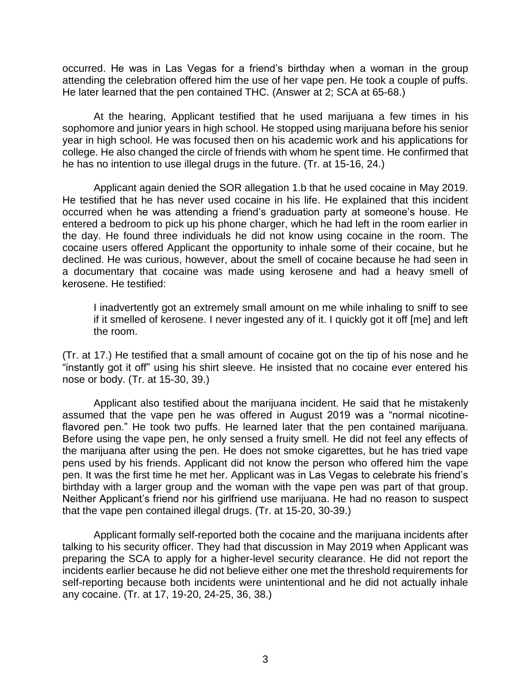occurred. He was in Las Vegas for a friend's birthday when a woman in the group attending the celebration offered him the use of her vape pen. He took a couple of puffs. He later learned that the pen contained THC. (Answer at 2; SCA at 65-68.)

 At the hearing, Applicant testified that he used marijuana a few times in his sophomore and junior years in high school. He stopped using marijuana before his senior college. He also changed the circle of friends with whom he spent time. He confirmed that year in high school. He was focused then on his academic work and his applications for he has no intention to use illegal drugs in the future. (Tr. at 15-16, 24.)

 He testified that he has never used cocaine in his life. He explained that this incident occurred when he was attending a friend's graduation party at someone's house. He entered a bedroom to pick up his phone charger, which he had left in the room earlier in the day. He found three individuals he did not know using cocaine in the room. The cocaine users offered Applicant the opportunity to inhale some of their cocaine, but he declined. He was curious, however, about the smell of cocaine because he had seen in a documentary that cocaine was made using kerosene and had a heavy smell of Applicant again denied the SOR allegation 1.b that he used cocaine in May 2019. kerosene. He testified:

I inadvertently got an extremely small amount on me while inhaling to sniff to see if it smelled of kerosene. I never ingested any of it. I quickly got it off [me] and left the room.

 (Tr. at 17.) He testified that a small amount of cocaine got on the tip of his nose and he "instantly got it off" using his shirt sleeve. He insisted that no cocaine ever entered his nose or body. (Tr. at 15-30, 39.)

 Applicant also testified about the marijuana incident. He said that he mistakenly assumed that the vape pen he was offered in August 2019 was a "normal nicotine- flavored pen." He took two puffs. He learned later that the pen contained marijuana. Before using the vape pen, he only sensed a fruity smell. He did not feel any effects of the marijuana after using the pen. He does not smoke cigarettes, but he has tried vape pens used by his friends. Applicant did not know the person who offered him the vape birthday with a larger group and the woman with the vape pen was part of that group. Neither Applicant's friend nor his girlfriend use marijuana. He had no reason to suspect pen. It was the first time he met her. Applicant was in Las Vegas to celebrate his friend's that the vape pen contained illegal drugs. (Tr. at 15-20, 30-39.)

 Applicant formally self-reported both the cocaine and the marijuana incidents after talking to his security officer. They had that discussion in May 2019 when Applicant was preparing the SCA to apply for a higher-level security clearance. He did not report the incidents earlier because he did not believe either one met the threshold requirements for self-reporting because both incidents were unintentional and he did not actually inhale any cocaine. (Tr. at 17, 19-20, 24-25, 36, 38.)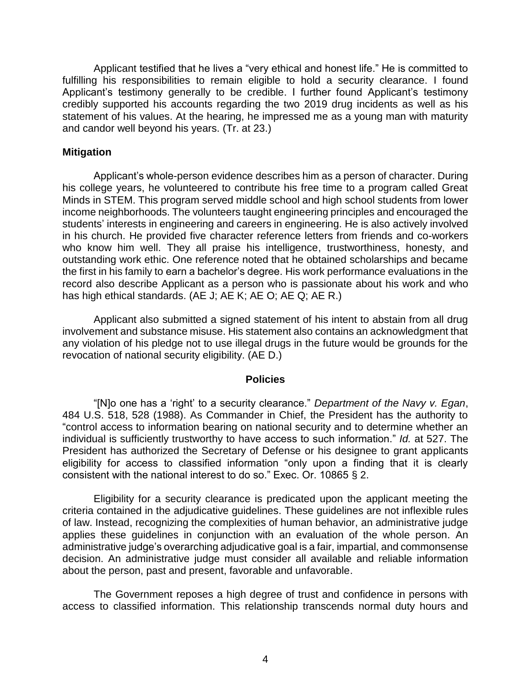Applicant testified that he lives a "very ethical and honest life." He is committed to fulfilling his responsibilities to remain eligible to hold a security clearance. I found Applicant's testimony generally to be credible. I further found Applicant's testimony credibly supported his accounts regarding the two 2019 drug incidents as well as his statement of his values. At the hearing, he impressed me as a young man with maturity and candor well beyond his years. (Tr. at 23.)

### **Mitigation**

 Applicant's whole-person evidence describes him as a person of character. During his college years, he volunteered to contribute his free time to a program called Great Minds in STEM. This program served middle school and high school students from lower income neighborhoods. The volunteers taught engineering principles and encouraged the students' interests in engineering and careers in engineering. He is also actively involved in his church. He provided five character reference letters from friends and co-workers who know him well. They all praise his intelligence, trustworthiness, honesty, and outstanding work ethic. One reference noted that he obtained scholarships and became the first in his family to earn a bachelor's degree. His work performance evaluations in the record also describe Applicant as a person who is passionate about his work and who has high ethical standards. (AE J; AE K; AE O; AE Q; AE R.)

 Applicant also submitted a signed statement of his intent to abstain from all drug involvement and substance misuse. His statement also contains an acknowledgment that any violation of his pledge not to use illegal drugs in the future would be grounds for the revocation of national security eligibility. (AE D.)

#### **Policies**

 "[N]o one has a 'right' to a security clearance." *Department of the Navy v. Egan*, 484 U.S. 518, 528 (1988). As Commander in Chief, the President has the authority to "control access to information bearing on national security and to determine whether an individual is sufficiently trustworthy to have access to such information." *Id.* at 527. The President has authorized the Secretary of Defense or his designee to grant applicants eligibility for access to classified information "only upon a finding that it is clearly consistent with the national interest to do so." Exec. Or. 10865 § 2.

 Eligibility for a security clearance is predicated upon the applicant meeting the criteria contained in the adjudicative guidelines. These guidelines are not inflexible rules applies these guidelines in conjunction with an evaluation of the whole person. An administrative judge's overarching adjudicative goal is a fair, impartial, and commonsense about the person, past and present, favorable and unfavorable. of law. Instead, recognizing the complexities of human behavior, an administrative judge decision. An administrative judge must consider all available and reliable information

 The Government reposes a high degree of trust and confidence in persons with access to classified information. This relationship transcends normal duty hours and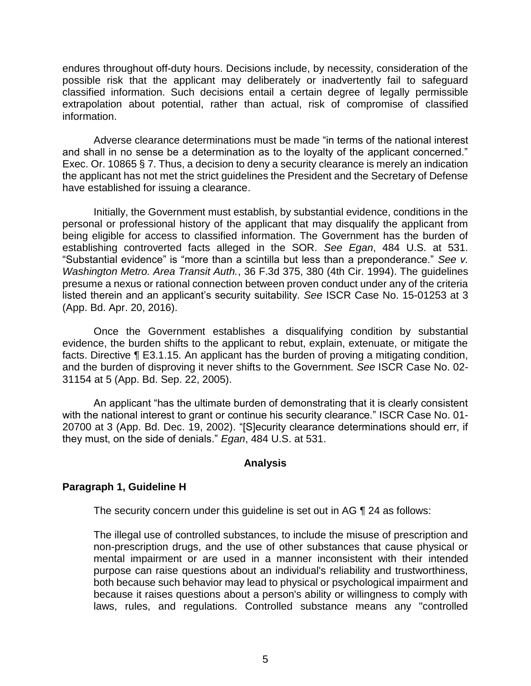endures throughout off-duty hours. Decisions include, by necessity, consideration of the possible risk that the applicant may deliberately or inadvertently fail to safeguard classified information. Such decisions entail a certain degree of legally permissible extrapolation about potential, rather than actual, risk of compromise of classified information.

 Adverse clearance determinations must be made "in terms of the national interest and shall in no sense be a determination as to the loyalty of the applicant concerned." Exec. Or. 10865 § 7. Thus, a decision to deny a security clearance is merely an indication the applicant has not met the strict guidelines the President and the Secretary of Defense have established for issuing a clearance.

 Initially, the Government must establish, by substantial evidence, conditions in the personal or professional history of the applicant that may disqualify the applicant from being eligible for access to classified information. The Government has the burden of establishing controverted facts alleged in the SOR. *See Egan*, 484 U.S. at 531. "Substantial evidence" is "more than a scintilla but less than a preponderance." *See v. Washington Metro. Area Transit Auth.*, 36 F.3d 375, 380 (4th Cir. 1994). The guidelines presume a nexus or rational connection between proven conduct under any of the criteria listed therein and an applicant's security suitability. *See* ISCR Case No. 15-01253 at 3 (App. Bd. Apr. 20, 2016).

Once the Government establishes a disqualifying condition by substantial evidence, the burden shifts to the applicant to rebut, explain, extenuate, or mitigate the facts. Directive ¶ E3.1.15. An applicant has the burden of proving a mitigating condition, and the burden of disproving it never shifts to the Government. *See* ISCR Case No. 02- 31154 at 5 (App. Bd. Sep. 22, 2005).

An applicant "has the ultimate burden of demonstrating that it is clearly consistent with the national interest to grant or continue his security clearance." ISCR Case No. 01- 20700 at 3 (App. Bd. Dec. 19, 2002). "[S]ecurity clearance determinations should err, if they must, on the side of denials." *Egan*, 484 U.S. at 531.

#### **Analysis**

## **Paragraph 1, Guideline H**

The security concern under this guideline is set out in AG ¶ 24 as follows:

The illegal use of controlled substances, to include the misuse of prescription and non-prescription drugs, and the use of other substances that cause physical or mental impairment or are used in a manner inconsistent with their intended purpose can raise questions about an individual's reliability and trustworthiness, both because such behavior may lead to physical or psychological impairment and because it raises questions about a person's ability or willingness to comply with laws, rules, and regulations. Controlled substance means any "controlled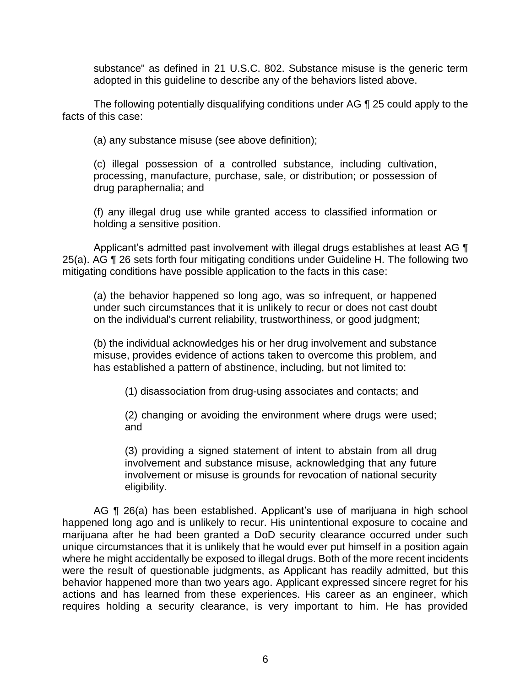substance" as defined in 21 U.S.C. 802. Substance misuse is the generic term adopted in this guideline to describe any of the behaviors listed above.

 The following potentially disqualifying conditions under AG ¶ 25 could apply to the facts of this case:

(a) any substance misuse (see above definition);

(c) illegal possession of a controlled substance, including cultivation, processing, manufacture, purchase, sale, or distribution; or possession of drug paraphernalia; and

(f) any illegal drug use while granted access to classified information or holding a sensitive position.

Applicant's admitted past involvement with illegal drugs establishes at least AG  $\P$  mitigating conditions have possible application to the facts in this case: 25(a). AG ¶ 26 sets forth four mitigating conditions under Guideline H. The following two

(a) the behavior happened so long ago, was so infrequent, or happened under such circumstances that it is unlikely to recur or does not cast doubt on the individual's current reliability, trustworthiness, or good judgment;

(b) the individual acknowledges his or her drug involvement and substance misuse, provides evidence of actions taken to overcome this problem, and has established a pattern of abstinence, including, but not limited to:

(1) disassociation from drug-using associates and contacts; and

(2) changing or avoiding the environment where drugs were used; and

(3) providing a signed statement of intent to abstain from all drug involvement and substance misuse, acknowledging that any future involvement or misuse is grounds for revocation of national security eligibility.

 AG ¶ 26(a) has been established. Applicant's use of marijuana in high school happened long ago and is unlikely to recur. His unintentional exposure to cocaine and marijuana after he had been granted a DoD security clearance occurred under such unique circumstances that it is unlikely that he would ever put himself in a position again where he might accidentally be exposed to illegal drugs. Both of the more recent incidents were the result of questionable judgments, as Applicant has readily admitted, but this behavior happened more than two years ago. Applicant expressed sincere regret for his actions and has learned from these experiences. His career as an engineer, which requires holding a security clearance, is very important to him. He has provided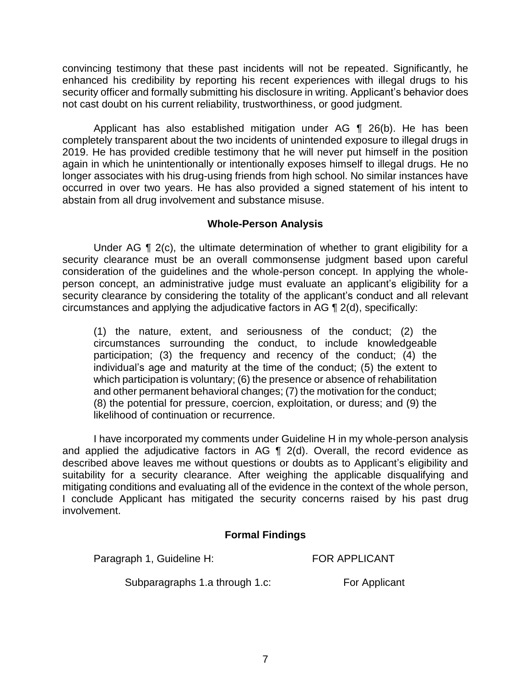convincing testimony that these past incidents will not be repeated. Significantly, he enhanced his credibility by reporting his recent experiences with illegal drugs to his security officer and formally submitting his disclosure in writing. Applicant's behavior does not cast doubt on his current reliability, trustworthiness, or good judgment.

 Applicant has also established mitigation under AG ¶ 26(b). He has been completely transparent about the two incidents of unintended exposure to illegal drugs in 2019. He has provided credible testimony that he will never put himself in the position again in which he unintentionally or intentionally exposes himself to illegal drugs. He no longer associates with his drug-using friends from high school. No similar instances have occurred in over two years. He has also provided a signed statement of his intent to abstain from all drug involvement and substance misuse.

## **Whole-Person Analysis**

Under AG  $\P$  2(c), the ultimate determination of whether to grant eligibility for a security clearance must be an overall commonsense judgment based upon careful consideration of the guidelines and the whole-person concept. In applying the whole- person concept, an administrative judge must evaluate an applicant's eligibility for a security clearance by considering the totality of the applicant's conduct and all relevant circumstances and applying the adjudicative factors in AG ¶ 2(d), specifically:

(1) the nature, extent, and seriousness of the conduct; (2) the circumstances surrounding the conduct, to include knowledgeable participation; (3) the frequency and recency of the conduct; (4) the individual's age and maturity at the time of the conduct; (5) the extent to which participation is voluntary; (6) the presence or absence of rehabilitation and other permanent behavioral changes; (7) the motivation for the conduct; (8) the potential for pressure, coercion, exploitation, or duress; and (9) the likelihood of continuation or recurrence.

 I have incorporated my comments under Guideline H in my whole-person analysis and applied the adjudicative factors in AG  $\P$  2(d). Overall, the record evidence as described above leaves me without questions or doubts as to Applicant's eligibility and suitability for a security clearance. After weighing the applicable disqualifying and mitigating conditions and evaluating all of the evidence in the context of the whole person, I conclude Applicant has mitigated the security concerns raised by his past drug involvement.

## **Formal Findings**

Paragraph 1, Guideline H: FOR APPLICANT

Subparagraphs 1.a through 1.c: For Applicant